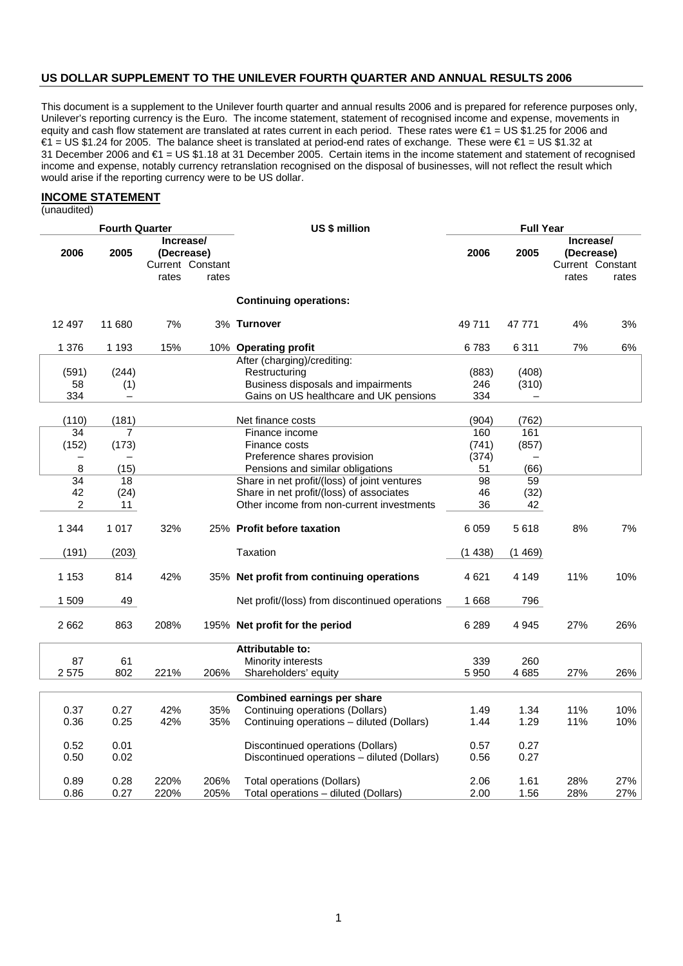#### **US DOLLAR SUPPLEMENT TO THE UNILEVER FOURTH QUARTER AND ANNUAL RESULTS 2006**

This document is a supplement to the Unilever fourth quarter and annual results 2006 and is prepared for reference purposes only, Unilever's reporting currency is the Euro. The income statement, statement of recognised income and expense, movements in equity and cash flow statement are translated at rates current in each period. These rates were €1 = US \$1.25 for 2006 and €1 = US \$1.24 for 2005. The balance sheet is translated at period-end rates of exchange. These were €1 = US \$1.32 at 31 December 2006 and €1 = US \$1.18 at 31 December 2005. Certain items in the income statement and statement of recognised income and expense, notably currency retranslation recognised on the disposal of businesses, will not reflect the result which would arise if the reporting currency were to be US dollar.

### **INCOME STATEMENT**

(unaudited)

| <b>Fourth Quarter</b> |                 |                |                         |                  | US \$ million                                  | <b>Full Year</b> |                          |                         |                  |
|-----------------------|-----------------|----------------|-------------------------|------------------|------------------------------------------------|------------------|--------------------------|-------------------------|------------------|
|                       | 2006            | 2005           | Increase/<br>(Decrease) |                  |                                                | 2006             | 2005                     | Increase/<br>(Decrease) |                  |
|                       |                 |                |                         | Current Constant |                                                |                  |                          |                         | Current Constant |
|                       |                 |                | rates                   | rates            |                                                |                  |                          | rates                   | rates            |
|                       |                 |                |                         |                  | <b>Continuing operations:</b>                  |                  |                          |                         |                  |
|                       | 12 497          | 11 680         | 7%                      |                  | 3% Turnover                                    | 49711            | 47 771                   | 4%                      | 3%               |
|                       | 1 3 7 6         | 1 1 9 3        | 15%                     |                  | 10% Operating profit                           | 6783             | 6 3 1 1                  | 7%                      | 6%               |
|                       |                 |                |                         |                  | After (charging)/crediting:                    |                  |                          |                         |                  |
|                       | (591)           | (244)          |                         |                  | Restructuring                                  | (883)            | (408)                    |                         |                  |
|                       | 58              | (1)            |                         |                  | Business disposals and impairments             | 246              | (310)                    |                         |                  |
|                       | 334             |                |                         |                  | Gains on US healthcare and UK pensions         | 334              |                          |                         |                  |
|                       | (110)           | (181)          |                         |                  | Net finance costs                              | (904)            | (762)                    |                         |                  |
|                       | 34              | $\overline{7}$ |                         |                  | Finance income                                 | 160              | 161                      |                         |                  |
|                       | (152)           | (173)          |                         |                  | Finance costs                                  | (741)            | (857)                    |                         |                  |
|                       |                 |                |                         |                  | Preference shares provision                    | (374)            | $\overline{\phantom{m}}$ |                         |                  |
|                       | 8               | (15)           |                         |                  | Pensions and similar obligations               | 51               | (66)                     |                         |                  |
|                       | $\overline{34}$ | 18             |                         |                  | Share in net profit/(loss) of joint ventures   | 98               | $\overline{59}$          |                         |                  |
|                       | 42              | (24)           |                         |                  | Share in net profit/(loss) of associates       | 46               | (32)                     |                         |                  |
|                       | $\overline{c}$  | 11             |                         |                  | Other income from non-current investments      | 36               | 42                       |                         |                  |
|                       | 1 344           | 1017           | 32%                     |                  | 25% Profit before taxation                     | 6 0 5 9          | 5618                     | 8%                      | 7%               |
|                       | (191)           | (203)          |                         |                  | Taxation                                       | (1438)           | (1469)                   |                         |                  |
|                       | 1 1 5 3         | 814            | 42%                     |                  | 35% Net profit from continuing operations      | 4621             | 4 1 4 9                  | 11%                     | 10%              |
|                       | 1 509           | 49             |                         |                  | Net profit/(loss) from discontinued operations | 1668             | 796                      |                         |                  |
|                       |                 |                |                         |                  |                                                |                  |                          |                         |                  |
|                       | 2662            | 863            | 208%                    |                  | 195% Net profit for the period                 | 6 2 8 9          | 4 9 4 5                  | 27%                     | 26%              |
|                       |                 |                |                         |                  | Attributable to:                               |                  |                          |                         |                  |
|                       | 87              | 61             |                         |                  | Minority interests                             | 339              | 260                      |                         |                  |
|                       | 2575            | 802            | 221%                    | 206%             | Shareholders' equity                           | 5950             | 4685                     | 27%                     | 26%              |
|                       |                 |                |                         |                  |                                                |                  |                          |                         |                  |
|                       |                 |                |                         |                  | <b>Combined earnings per share</b>             |                  |                          |                         |                  |
|                       | 0.37            | 0.27           | 42%                     | 35%              | Continuing operations (Dollars)                | 1.49             | 1.34                     | 11%                     | 10%              |
|                       | 0.36            | 0.25           | 42%                     | 35%              | Continuing operations - diluted (Dollars)      | 1.44             | 1.29                     | 11%                     | 10%              |
|                       | 0.52            | 0.01           |                         |                  | Discontinued operations (Dollars)              | 0.57             | 0.27                     |                         |                  |
|                       | 0.50            | 0.02           |                         |                  | Discontinued operations - diluted (Dollars)    | 0.56             | 0.27                     |                         |                  |
|                       | 0.89            | 0.28           | 220%                    | 206%             | <b>Total operations (Dollars)</b>              | 2.06             | 1.61                     | 28%                     | 27%              |
|                       | 0.86            | 0.27           | 220%                    | 205%             | Total operations - diluted (Dollars)           | 2.00             | 1.56                     | 28%                     | 27%              |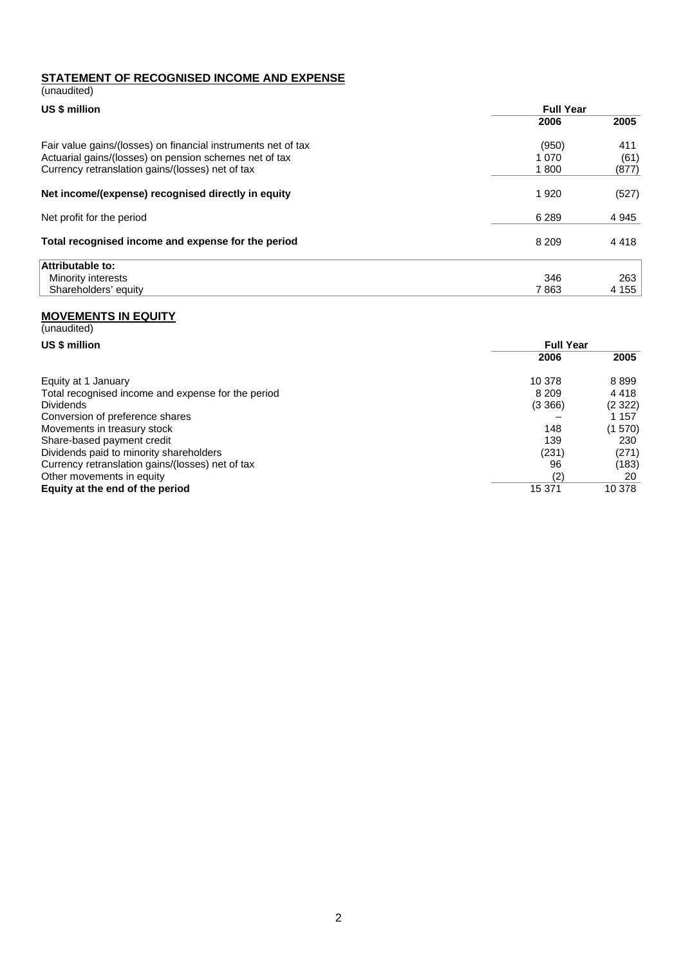# **STATEMENT OF RECOGNISED INCOME AND EXPENSE**

| (unaudited)                                                   |                  |         |
|---------------------------------------------------------------|------------------|---------|
| US \$ million                                                 | <b>Full Year</b> |         |
|                                                               | 2006             | 2005    |
| Fair value gains/(losses) on financial instruments net of tax | (950)            | 411     |
| Actuarial gains/(losses) on pension schemes net of tax        | 1 070            | (61)    |
| Currency retranslation gains/(losses) net of tax              | 1800             | (877)   |
| Net income/(expense) recognised directly in equity            | 1920             | (527)   |
| Net profit for the period                                     | 6 2 8 9          | 4 9 4 5 |
| Total recognised income and expense for the period            | 8 2 0 9          | 4418    |
| Attributable to:                                              |                  |         |
| Minority interests                                            | 346              | 263     |
| Shareholders' equity                                          | 7863             | 4 1 5 5 |

#### **MOVEMENTS IN EQUITY**

| (unaudited)                                        |                  |        |  |  |
|----------------------------------------------------|------------------|--------|--|--|
| US \$ million                                      | <b>Full Year</b> |        |  |  |
|                                                    | 2006             | 2005   |  |  |
| Equity at 1 January                                | 10 378           | 8899   |  |  |
| Total recognised income and expense for the period | 8 2 0 9          | 4418   |  |  |
| <b>Dividends</b>                                   | (3 366)          | (2322) |  |  |
| Conversion of preference shares                    |                  | 1 157  |  |  |
| Movements in treasury stock                        | 148              | (1570) |  |  |
| Share-based payment credit                         | 139              | 230    |  |  |
| Dividends paid to minority shareholders            | (231)            | (271)  |  |  |
| Currency retranslation gains/(losses) net of tax   | 96               | (183)  |  |  |
| Other movements in equity                          | (2)              | 20     |  |  |
| Equity at the end of the period                    | 15 371           | 10 378 |  |  |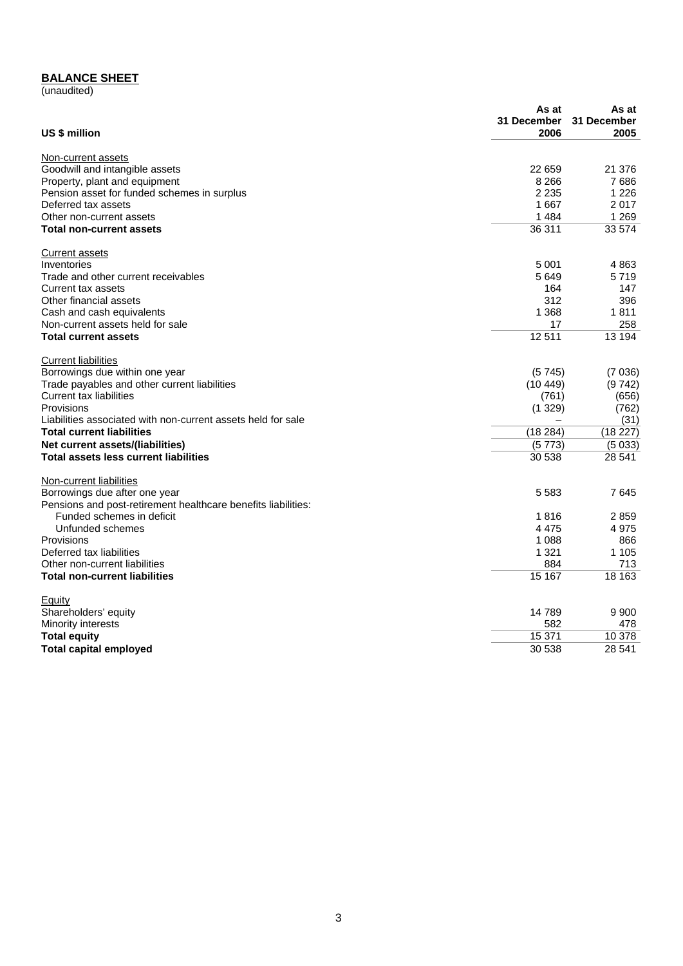#### **BALANCE SHEET**

(unaudited)

|                                                               | As at       | As at       |
|---------------------------------------------------------------|-------------|-------------|
|                                                               | 31 December | 31 December |
| US \$ million                                                 | 2006        | 2005        |
| Non-current assets                                            |             |             |
| Goodwill and intangible assets                                | 22 659      | 21 376      |
| Property, plant and equipment                                 | 8 2 6 6     | 7686        |
| Pension asset for funded schemes in surplus                   | 2 2 3 5     | 1 2 2 6     |
| Deferred tax assets                                           | 1667        | 2017        |
| Other non-current assets                                      | 1 4 8 4     | 1 2 6 9     |
| <b>Total non-current assets</b>                               | 36 311      | 33 574      |
| Current assets                                                |             |             |
| Inventories                                                   | 5 0 0 1     | 4863        |
| Trade and other current receivables                           | 5649        | 5719        |
| Current tax assets                                            | 164         | 147         |
| Other financial assets                                        | 312         | 396         |
| Cash and cash equivalents                                     | 1 3 6 8     | 1811        |
| Non-current assets held for sale                              | 17          | 258         |
| <b>Total current assets</b>                                   | 12511       | 13 194      |
| <b>Current liabilities</b>                                    |             |             |
| Borrowings due within one year                                | (5745)      | (7036)      |
| Trade payables and other current liabilities                  | (10449)     | (9742)      |
| Current tax liabilities                                       | (761)       | (656)       |
| Provisions                                                    | (1329)      | (762)       |
| Liabilities associated with non-current assets held for sale  |             | (31)        |
| <b>Total current liabilities</b>                              | (18284)     | (18 227)    |
| Net current assets/(liabilities)                              | (5773)      | (5033)      |
| <b>Total assets less current liabilities</b>                  | 30 538      | 28 541      |
| Non-current liabilities                                       |             |             |
| Borrowings due after one year                                 | 5 5 8 3     | 7645        |
| Pensions and post-retirement healthcare benefits liabilities: |             |             |
| Funded schemes in deficit                                     | 1816        | 2859        |
| Unfunded schemes                                              | 4475        | 4975        |
| Provisions                                                    | 1 0 8 8     | 866         |
| Deferred tax liabilities                                      | 1 3 2 1     | 1 1 0 5     |
| Other non-current liabilities                                 | 884         | 713         |
| <b>Total non-current liabilities</b>                          | 15 167      | 18 163      |
| Equity                                                        |             |             |
| Shareholders' equity                                          | 14789       | 9 9 0 0     |
| Minority interests                                            | 582         | 478         |
| <b>Total equity</b>                                           | 15 371      | 10 378      |
| <b>Total capital employed</b>                                 | 30 538      | 28 541      |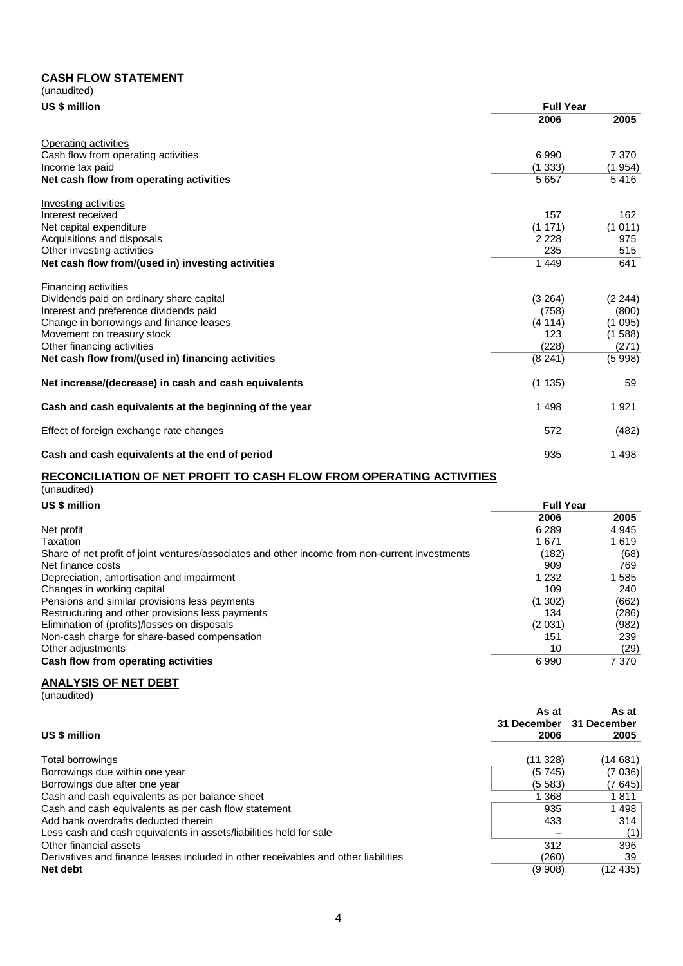### **CASH FLOW STATEMENT**

| (unaudited)                                                                                                                                                                                                                                                                                                                                        |                  |         |
|----------------------------------------------------------------------------------------------------------------------------------------------------------------------------------------------------------------------------------------------------------------------------------------------------------------------------------------------------|------------------|---------|
| US \$ million<br>Other investing activities<br>Net cash flow from/(used in) investing activities<br>Dividends paid on ordinary share capital<br>Interest and preference dividends paid<br>Change in borrowings and finance leases<br>Movement on treasury stock<br>Other financing activities<br>Net cash flow from/(used in) financing activities | <b>Full Year</b> |         |
|                                                                                                                                                                                                                                                                                                                                                    | 2006             | 2005    |
| Operating activities                                                                                                                                                                                                                                                                                                                               |                  |         |
| Cash flow from operating activities                                                                                                                                                                                                                                                                                                                | 6990             | 7 3 7 0 |
| Income tax paid                                                                                                                                                                                                                                                                                                                                    | (1333)           | (1 954) |
| Net cash flow from operating activities                                                                                                                                                                                                                                                                                                            | 5 6 5 7          | 5416    |
| Investing activities                                                                                                                                                                                                                                                                                                                               |                  |         |
| Interest received                                                                                                                                                                                                                                                                                                                                  | 157              | 162     |
| Net capital expenditure                                                                                                                                                                                                                                                                                                                            | (1171)           | (1011)  |
| Acquisitions and disposals                                                                                                                                                                                                                                                                                                                         | 2 2 2 8          | 975     |
|                                                                                                                                                                                                                                                                                                                                                    | 235              | 515     |
|                                                                                                                                                                                                                                                                                                                                                    | 1449             | 641     |
| <b>Financing activities</b>                                                                                                                                                                                                                                                                                                                        |                  |         |
|                                                                                                                                                                                                                                                                                                                                                    | (3 264)          | (2244)  |
|                                                                                                                                                                                                                                                                                                                                                    | (758)            | (800)   |
|                                                                                                                                                                                                                                                                                                                                                    | (4114)           | (1095)  |
|                                                                                                                                                                                                                                                                                                                                                    | 123              | (1588)  |
|                                                                                                                                                                                                                                                                                                                                                    | (228)            | (271)   |
|                                                                                                                                                                                                                                                                                                                                                    | (8241)           | (5998)  |
| Net increase/(decrease) in cash and cash equivalents                                                                                                                                                                                                                                                                                               | (1135)           | 59      |
| Cash and cash equivalents at the beginning of the year                                                                                                                                                                                                                                                                                             | 1498             | 1921    |
| Effect of foreign exchange rate changes                                                                                                                                                                                                                                                                                                            | 572              | (482)   |
| Cash and cash equivalents at the end of period                                                                                                                                                                                                                                                                                                     | 935              | 1498    |

#### **RECONCILIATION OF NET PROFIT TO CASH FLOW FROM OPERATING ACTIVITIES**

| (unaudited)                                                                                    |                  |         |  |
|------------------------------------------------------------------------------------------------|------------------|---------|--|
| US \$ million                                                                                  | <b>Full Year</b> |         |  |
|                                                                                                | 2006             | 2005    |  |
| Net profit                                                                                     | 6 2 8 9          | 4 9 4 5 |  |
| Taxation                                                                                       | 1671             | 1619    |  |
| Share of net profit of joint ventures/associates and other income from non-current investments | (182)            | (68)    |  |
| Net finance costs                                                                              | 909              | 769     |  |
| Depreciation, amortisation and impairment                                                      | 1 2 3 2          | 1 585   |  |
| Changes in working capital                                                                     | 109              | 240     |  |
| Pensions and similar provisions less payments                                                  | (1302)           | (662)   |  |
| Restructuring and other provisions less payments                                               | 134              | (286)   |  |
| Elimination of (profits)/losses on disposals                                                   | (2031)           | (982)   |  |
| Non-cash charge for share-based compensation                                                   | 151              | 239     |  |
| Other adjustments                                                                              | 10               | (29)    |  |
| Cash flow from operating activities                                                            | 6990             | 7 370   |  |

# **ANALYSIS OF NET DEBT**

(unaudited)

| US \$ million                                                                      | As at<br>31 December<br>2006 | As at<br>31 December<br>2005 |
|------------------------------------------------------------------------------------|------------------------------|------------------------------|
|                                                                                    |                              |                              |
| Total borrowings                                                                   | (11328)                      | (14 681)                     |
| Borrowings due within one year                                                     | (5745)                       | (7036)                       |
| Borrowings due after one year                                                      | (5583)                       | (7 645)                      |
| Cash and cash equivalents as per balance sheet                                     | 1 368                        | 1811                         |
| Cash and cash equivalents as per cash flow statement                               | 935                          | 1498                         |
| Add bank overdrafts deducted therein                                               | 433                          | 314                          |
| Less cash and cash equivalents in assets/liabilities held for sale                 |                              | (1)                          |
| Other financial assets                                                             | 312                          | 396                          |
| Derivatives and finance leases included in other receivables and other liabilities | (260)                        | 39                           |
| Net debt                                                                           | (9908)                       | (12 435)                     |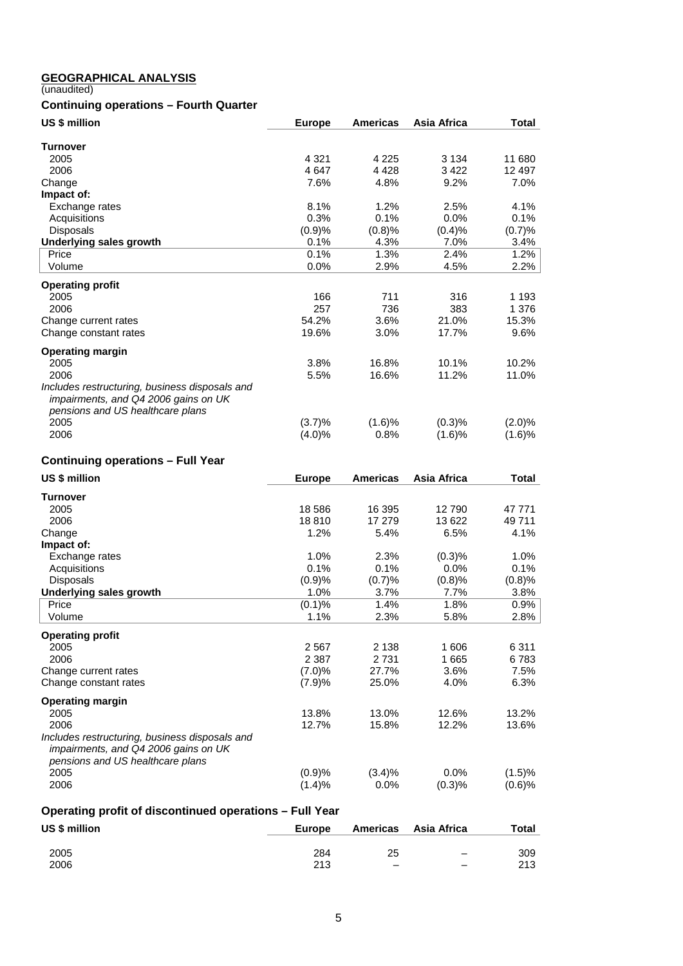#### **GEOGRAPHICAL ANALYSIS**

(unaudited)

# **Continuing operations – Fourth Quarter**

| US \$ million                                  | <b>Europe</b> | <b>Americas</b> | Asia Africa | <b>Total</b> |
|------------------------------------------------|---------------|-----------------|-------------|--------------|
| <b>Turnover</b>                                |               |                 |             |              |
| 2005                                           | 4 3 2 1       | 4 2 2 5         | 3 1 3 4     | 11 680       |
|                                                | 4647          |                 | 3422        | 12 497       |
| 2006                                           |               | 4 4 2 8         |             |              |
| Change                                         | 7.6%          | 4.8%            | 9.2%        | 7.0%         |
| Impact of:                                     |               |                 |             |              |
| Exchange rates                                 | 8.1%          | 1.2%            | 2.5%        | 4.1%         |
| Acquisitions                                   | 0.3%          | 0.1%            | 0.0%        | 0.1%         |
| <b>Disposals</b>                               | (0.9)%        | (0.8)%          | (0.4)%      | (0.7)%       |
| Underlying sales growth                        | 0.1%          | 4.3%            | 7.0%        | 3.4%         |
| Price                                          | 0.1%          | 1.3%            | 2.4%        | 1.2%         |
| Volume                                         | 0.0%          | 2.9%            | 4.5%        | 2.2%         |
| <b>Operating profit</b>                        |               |                 |             |              |
| 2005                                           | 166           | 711             | 316         | 1 1 9 3      |
| 2006                                           | 257           | 736             | 383         | 1 376        |
| Change current rates                           | 54.2%         | 3.6%            | 21.0%       | 15.3%        |
| Change constant rates                          | 19.6%         | 3.0%            | 17.7%       | 9.6%         |
| <b>Operating margin</b>                        |               |                 |             |              |
| 2005                                           | 3.8%          | 16.8%           | 10.1%       | 10.2%        |
| 2006                                           | 5.5%          | 16.6%           | 11.2%       | 11.0%        |
| Includes restructuring, business disposals and |               |                 |             |              |
| impairments, and Q4 2006 gains on UK           |               |                 |             |              |
|                                                |               |                 |             |              |
| pensions and US healthcare plans               |               |                 |             |              |
| 2005                                           | (3.7)%        | (1.6)%          | (0.3)%      | $(2.0)\%$    |
| 2006                                           | $(4.0)\%$     | 0.8%            | (1.6)%      | (1.6)%       |

# **Continuing operations – Full Year**

| US \$ million                                                                                                              | <b>Europe</b> | <b>Americas</b> | Asia Africa | <b>Total</b> |
|----------------------------------------------------------------------------------------------------------------------------|---------------|-----------------|-------------|--------------|
| <b>Turnover</b>                                                                                                            |               |                 |             |              |
| 2005                                                                                                                       | 18586         | 16 395          | 12790       | 47 771       |
| 2006                                                                                                                       | 18810         | 17 279          | 13 622      | 49 711       |
| Change                                                                                                                     | 1.2%          | 5.4%            | 6.5%        | 4.1%         |
| Impact of:                                                                                                                 |               |                 |             |              |
| Exchange rates                                                                                                             | 1.0%          | 2.3%            | (0.3)%      | 1.0%         |
| Acquisitions                                                                                                               | 0.1%          | 0.1%            | $0.0\%$     | $0.1\%$      |
| <b>Disposals</b>                                                                                                           | (0.9)%        | (0.7)%          | (0.8)%      | (0.8)%       |
| <b>Underlying sales growth</b>                                                                                             | 1.0%          | 3.7%            | 7.7%        | 3.8%         |
| Price                                                                                                                      | (0.1)%        | 1.4%            | 1.8%        | 0.9%         |
| Volume                                                                                                                     | 1.1%          | 2.3%            | 5.8%        | 2.8%         |
| <b>Operating profit</b>                                                                                                    |               |                 |             |              |
| 2005                                                                                                                       | 2567          | 2 1 3 8         | 1 606       | 6311         |
| 2006                                                                                                                       | 2 3 8 7       | 2 7 3 1         | 1665        | 6783         |
| Change current rates                                                                                                       | (7.0)%        | 27.7%           | 3.6%        | 7.5%         |
| Change constant rates                                                                                                      | (7.9)%        | 25.0%           | 4.0%        | 6.3%         |
| <b>Operating margin</b>                                                                                                    |               |                 |             |              |
| 2005                                                                                                                       | 13.8%         | 13.0%           | 12.6%       | 13.2%        |
| 2006                                                                                                                       | 12.7%         | 15.8%           | 12.2%       | 13.6%        |
| Includes restructuring, business disposals and<br>impairments, and Q4 2006 gains on UK<br>pensions and US healthcare plans |               |                 |             |              |
| 2005                                                                                                                       | (0.9)%        | (3.4)%          | 0.0%        | (1.5)%       |
| 2006                                                                                                                       | (1.4)%        | $0.0\%$         | (0.3)%      | (0.6)%       |

## **Operating profit of discontinued operations – Full Year**

| US \$ million | Europe |                          | Americas Asia Africa     | <b>Total</b> |
|---------------|--------|--------------------------|--------------------------|--------------|
| 2005          | 284    | 25                       | $\overline{\phantom{0}}$ | 309          |
| 2006          | 213    | $\overline{\phantom{0}}$ |                          | 213          |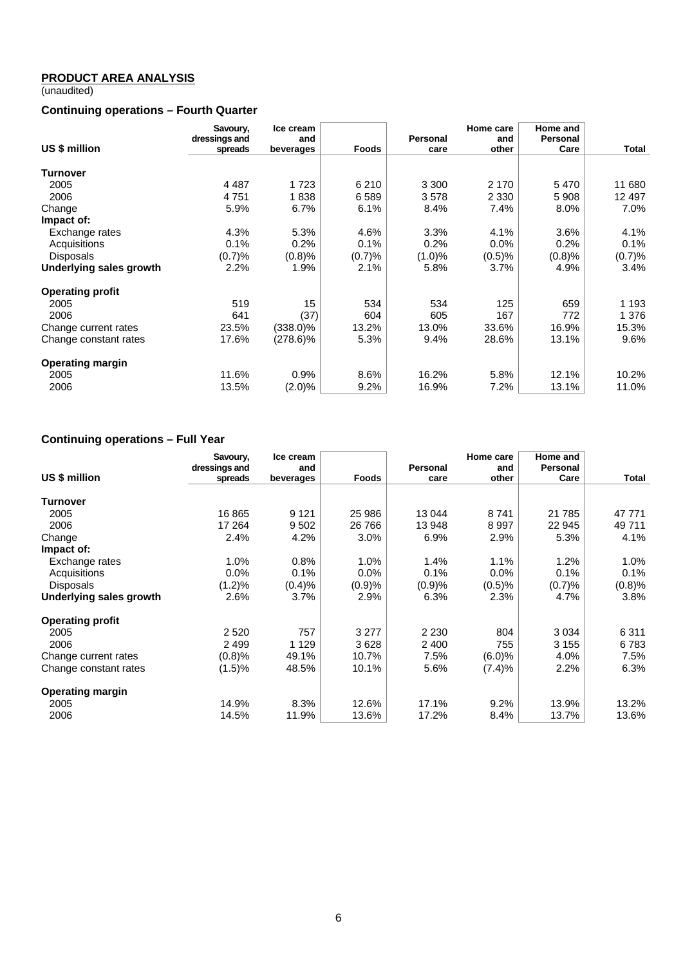#### **PRODUCT AREA ANALYSIS**

(unaudited)

### **Continuing operations – Fourth Quarter**

|                         | Savoury,<br>dressings and | Ice cream<br>and |              | Personal | Home care<br>and | Home and<br><b>Personal</b> |         |
|-------------------------|---------------------------|------------------|--------------|----------|------------------|-----------------------------|---------|
| US \$ million           | spreads                   | beverages        | <b>Foods</b> | care     | other            | Care                        | Total   |
| Turnover                |                           |                  |              |          |                  |                             |         |
| 2005                    | 4 4 8 7                   | 1 7 2 3          | 6 2 1 0      | 3 3 0 0  | 2 1 7 0          | 5470                        | 11 680  |
| 2006                    | 4751                      |                  |              |          |                  |                             | 12 497  |
|                         |                           | 1838             | 6589         | 3578     | 2 3 3 0          | 5 9 0 8                     |         |
| Change                  | 5.9%                      | 6.7%             | 6.1%         | 8.4%     | 7.4%             | 8.0%                        | 7.0%    |
| Impact of:              |                           |                  |              |          |                  |                             |         |
| Exchange rates          | 4.3%                      | 5.3%             | 4.6%         | 3.3%     | 4.1%             | 3.6%                        | 4.1%    |
| Acquisitions            | 0.1%                      | 0.2%             | 0.1%         | 0.2%     | 0.0%             | 0.2%                        | 0.1%    |
| Disposals               | (0.7)%                    | (0.8)%           | (0.7)%       | (1.0)%   | (0.5)%           | (0.8)%                      | (0.7)%  |
| Underlying sales growth | 2.2%                      | 1.9%             | $2.1\%$      | 5.8%     | 3.7%             | 4.9%                        | 3.4%    |
| <b>Operating profit</b> |                           |                  |              |          |                  |                             |         |
| 2005                    | 519                       | 15               | 534          | 534      | 125              | 659                         | 1 1 9 3 |
| 2006                    | 641                       | (37)             | 604          | 605      | 167              | 772                         | 1 376   |
| Change current rates    | 23.5%                     | $(338.0)\%$      | 13.2%        | 13.0%    | 33.6%            | 16.9%                       | 15.3%   |
| Change constant rates   | 17.6%                     | $(278.6)\%$      | 5.3%         | 9.4%     | 28.6%            | 13.1%                       | 9.6%    |
| <b>Operating margin</b> |                           |                  |              |          |                  |                             |         |
| 2005                    | 11.6%                     | 0.9%             | 8.6%         | 16.2%    | 5.8%             | 12.1%                       | 10.2%   |
| 2006                    | 13.5%                     | (2.0)%           | 9.2%         | 16.9%    | 7.2%             | 13.1%                       | 11.0%   |

# **Continuing operations – Full Year**

|                         | Savoury,      | Ice cream |         |          | Home care | Home and |         |
|-------------------------|---------------|-----------|---------|----------|-----------|----------|---------|
| US \$ million           | dressings and | and       |         | Personal | and       | Personal |         |
|                         | spreads       | beverages | Foods   | care     | other     | Care     | Total   |
| <b>Turnover</b>         |               |           |         |          |           |          |         |
| 2005                    | 16 865        | 9 1 2 1   | 25 986  | 13 044   | 8741      | 21 7 85  | 47 771  |
| 2006                    | 17 264        | 9502      | 26 766  | 13 948   | 8997      | 22 945   | 49 711  |
| Change                  | 2.4%          | 4.2%      | 3.0%    | 6.9%     | 2.9%      | 5.3%     | 4.1%    |
| Impact of:              |               |           |         |          |           |          |         |
| Exchange rates          | 1.0%          | 0.8%      | 1.0%    | 1.4%     | 1.1%      | 1.2%     | $1.0\%$ |
| Acquisitions            | 0.0%          | 0.1%      | 0.0%    | 0.1%     | $0.0\%$   | 0.1%     | 0.1%    |
| <b>Disposals</b>        | (1.2)%        | (0.4)%    | (0.9)%  | (0.9)%   | (0.5)%    | (0.7)%   | (0.8)%  |
| Underlying sales growth | 2.6%          | 3.7%      | 2.9%    | 6.3%     | 2.3%      | 4.7%     | 3.8%    |
| <b>Operating profit</b> |               |           |         |          |           |          |         |
| 2005                    | 2 5 2 0       | 757       | 3 2 7 7 | 2 2 3 0  | 804       | 3 0 3 4  | 6311    |
| 2006                    | 2499          | 1 1 2 9   | 3628    | 2 4 0 0  | 755       | 3 1 5 5  | 6783    |
| Change current rates    | (0.8)%        | 49.1%     | 10.7%   | 7.5%     | (6.0)%    | 4.0%     | 7.5%    |
| Change constant rates   | (1.5)%        | 48.5%     | 10.1%   | 5.6%     | (7.4)%    | 2.2%     | 6.3%    |
| <b>Operating margin</b> |               |           |         |          |           |          |         |
| 2005                    | 14.9%         | 8.3%      | 12.6%   | 17.1%    | 9.2%      | 13.9%    | 13.2%   |
| 2006                    | 14.5%         | 11.9%     | 13.6%   | 17.2%    | 8.4%      | 13.7%    | 13.6%   |